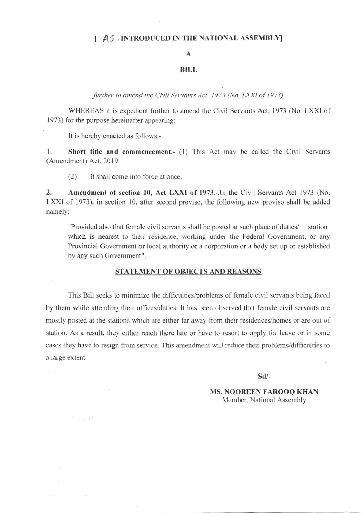#### **IMPAS** , INTRODUCED IN THE NATIONAL ASSEMBLY

### A

## BILL

further to amend the Civil Servants Act, 1973 (No. LXXI of 1973)

WHEREAS it is expedient further to amend the Civil Servants Act, 1973 (No. LXXI of 1973) for the purpose hereinafter appearing;

It is hereby enacted as follows:-

 $\label{eq:K} W^{\mathcal{M}}(0) = \sup_{\mathbf{0} \in \mathbb{R}^d} \mathbb{R} \left[ \mathbf{e}_0^{\mathcal{M}} \right] \, .$ 

1. Short title and commencement.- (1) This Act may be called the Civil Servants (Amendment) Act. 2019.

(2) It shall come into force at once.

2. Amendment of section 10, Act LXXI of 1973.-.In the Civil Servants Act 1973 (No. LXXI of 1973), in section 10, after second proviso, the following new proviso shall be added namely:-

"Provided also that female civil servants shall be posted at such place of duties/ station which is nearest to their residence, working under the Federal Government, or any Provincial Government or local authority or a corporation or a body set up or established by any such Govemment".

#### STATEMENT OF OBJECTS AND REASONS

This Bill seeks to minimize the difficulties/problems of female civil servants being faced by them while attending their offices/duties. It has been observed that female civil servants are mostly posted at the stations which are either far away from their residences/homes or are out of station. As a result, they either reach there late or have to resort to apply for leave or in some cases they have to resign fiom service. This amendment will reduce their problems/difficulties to a large extent.

sd/-

MS. NOOREEN FAROOO KHAN Member. National Assembly